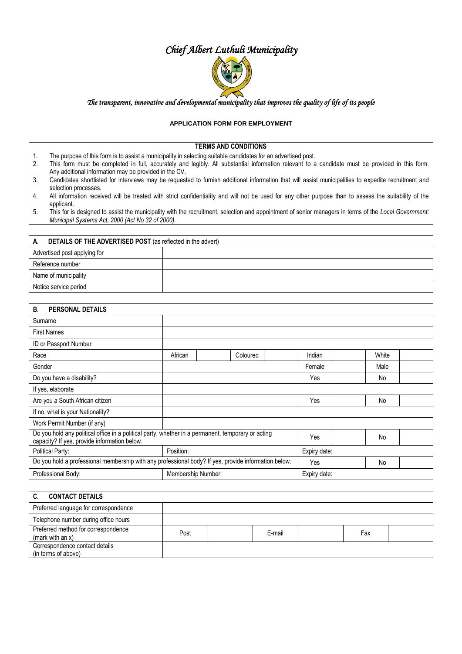# *Chief Albert Luthuli Municipality*



#### *The transparent, innovative and developmental municipality that improves the quality of life of its people*

### **APPLICATION FORM FOR EMPLOYMENT**

#### **TERMS AND CONDITIONS**

- 1. The purpose of this form is to assist a municipality in selecting suitable candidates for an advertised post.
- 2. This form must be completed in full, accurately and legibly. All substantial information relevant to a candidate must be provided in this form. Any additional information may be provided in the CV.
- 3. Candidates shortlisted for interviews may be requested to furnish additional information that will assist municipalities to expedite recruitment and selection processes.
- 4. All information received will be treated with strict confidentiality and will not be used for any other purpose than to assess the suitability of the applicant.
- 5. This for is designed to assist the municipality with the recruitment, selection and appointment of senior managers in terms of the *Local Government: Municipal Systems Act, 2000 (Act No 32 of 2000).*

| <b>DETAILS OF THE ADVERTISED POST</b> (as reflected in the advert)<br>А. |  |  |  |  |  |
|--------------------------------------------------------------------------|--|--|--|--|--|
| Advertised post applying for                                             |  |  |  |  |  |
| Reference number                                                         |  |  |  |  |  |
| Name of municipality                                                     |  |  |  |  |  |
| Notice service period                                                    |  |  |  |  |  |

| PERSONAL DETAILS<br>В.                                                                                                                             |                    |          |              |       |
|----------------------------------------------------------------------------------------------------------------------------------------------------|--------------------|----------|--------------|-------|
| Surname                                                                                                                                            |                    |          |              |       |
| <b>First Names</b>                                                                                                                                 |                    |          |              |       |
| ID or Passport Number                                                                                                                              |                    |          |              |       |
| Race                                                                                                                                               | African            | Coloured | Indian       | White |
| Gender                                                                                                                                             |                    |          | Female       | Male  |
| Do you have a disability?                                                                                                                          |                    |          | Yes          | No    |
| If yes, elaborate                                                                                                                                  |                    |          |              |       |
| Are you a South African citizen                                                                                                                    |                    |          | Yes          | No    |
| If no, what is your Nationality?                                                                                                                   |                    |          |              |       |
| Work Permit Number (if any)                                                                                                                        |                    |          |              |       |
| Do you hold any political office in a political party, whether in a permanent, temporary or acting<br>capacity? If yes, provide information below. |                    |          | Yes          | No    |
| Political Party:                                                                                                                                   | Position:          |          |              |       |
| Do you hold a professional membership with any professional body? If yes, provide information below.                                               |                    |          | Yes          | No    |
| Professional Body:                                                                                                                                 | Membership Number: |          | Expiry date: |       |

| <b>CONTACT DETAILS</b>                                  |      |  |        |     |  |
|---------------------------------------------------------|------|--|--------|-----|--|
| Preferred language for correspondence                   |      |  |        |     |  |
| Telephone number during office hours                    |      |  |        |     |  |
| Preferred method for correspondence<br>(mark with an x) | Post |  | E-mail | Fax |  |
| Correspondence contact details<br>(in terms of above)   |      |  |        |     |  |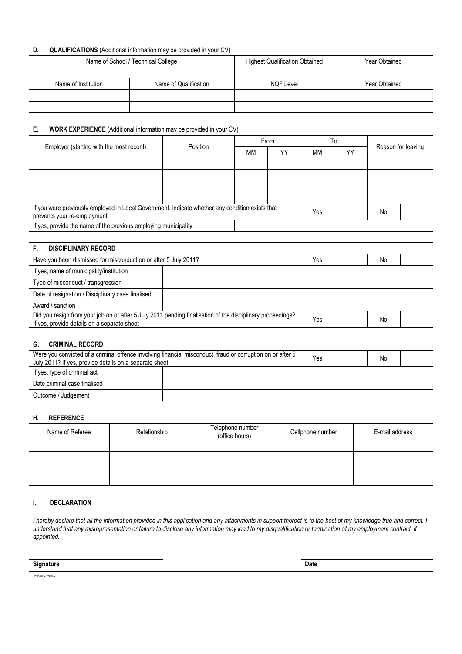| D. | <b>QUALIFICATIONS</b> (Additional information may be provided in your CV) |                       |                                       |               |  |  |
|----|---------------------------------------------------------------------------|-----------------------|---------------------------------------|---------------|--|--|
|    | Name of School / Technical College                                        |                       | <b>Highest Qualification Obtained</b> | Year Obtained |  |  |
|    |                                                                           |                       |                                       |               |  |  |
|    | Name of Institution                                                       | Name of Qualification | <b>NQF Level</b>                      | Year Obtained |  |  |
|    |                                                                           |                       |                                       |               |  |  |
|    |                                                                           |                       |                                       |               |  |  |

| Е.<br><b>WORK EXPERIENCE</b> (Additional information may be provided in your CV)                                               |          |           |    |           |    |                    |  |
|--------------------------------------------------------------------------------------------------------------------------------|----------|-----------|----|-----------|----|--------------------|--|
| Employer (starting with the most recent)                                                                                       | Position | From      |    | To        |    | Reason for leaving |  |
|                                                                                                                                |          | <b>MM</b> | YY | <b>MM</b> | YY |                    |  |
|                                                                                                                                |          |           |    |           |    |                    |  |
|                                                                                                                                |          |           |    |           |    |                    |  |
|                                                                                                                                |          |           |    |           |    |                    |  |
|                                                                                                                                |          |           |    |           |    |                    |  |
| If you were previously employed in Local Government, indicate whether any condition exists that<br>prevents your re-employment |          |           |    | Yes       |    | No                 |  |
| If yes, provide the name of the previous employing municipality                                                                |          |           |    |           |    |                    |  |

| <b>DISCIPLINARY RECORD</b>                                                                                                                                |  |     |  |    |  |
|-----------------------------------------------------------------------------------------------------------------------------------------------------------|--|-----|--|----|--|
| Have you been dismissed for misconduct on or after 5 July 2011?                                                                                           |  |     |  | No |  |
| If yes, name of municipality/institution                                                                                                                  |  |     |  |    |  |
| Type of misconduct / transgression                                                                                                                        |  |     |  |    |  |
| Date of resignation / Disciplinary case finalised                                                                                                         |  |     |  |    |  |
| Award / sanction                                                                                                                                          |  |     |  |    |  |
| Did you resign from your job on or after 5 July 2011 pending finalisation of the disciplinary proceedings?<br>If yes, provide details on a separate sheet |  | Yes |  | No |  |

| <b>CRIMINAL RECORD</b><br>G.                                                                                                                                          |  |  |    |  |
|-----------------------------------------------------------------------------------------------------------------------------------------------------------------------|--|--|----|--|
| Were you convicted of a criminal offence involving financial misconduct, fraud or corruption on or after 5<br>July 2011? If yes, provide details on a separate sheet. |  |  | No |  |
| If yes, type of criminal act                                                                                                                                          |  |  |    |  |
| Date criminal case finalised                                                                                                                                          |  |  |    |  |
| Outcome / Judgement                                                                                                                                                   |  |  |    |  |

| Н. | <b>REFERENCE</b> |              |                                    |                  |                |
|----|------------------|--------------|------------------------------------|------------------|----------------|
|    | Name of Referee  | Relationship | Telephone number<br>(office hours) | Cellphone number | E-mail address |
|    |                  |              |                                    |                  |                |
|    |                  |              |                                    |                  |                |
|    |                  |              |                                    |                  |                |
|    |                  |              |                                    |                  |                |

## **I. DECLARATION**

*I hereby declare that all the information provided in this application and any attachments in support thereof is to the best of my knowledge true and correct. I understand that any misrepresentation or failure to disclose any information may lead to my disqualification or termination of my employment contract, if appointed.*

**Signature Date**

12/08/2014/FSM/es